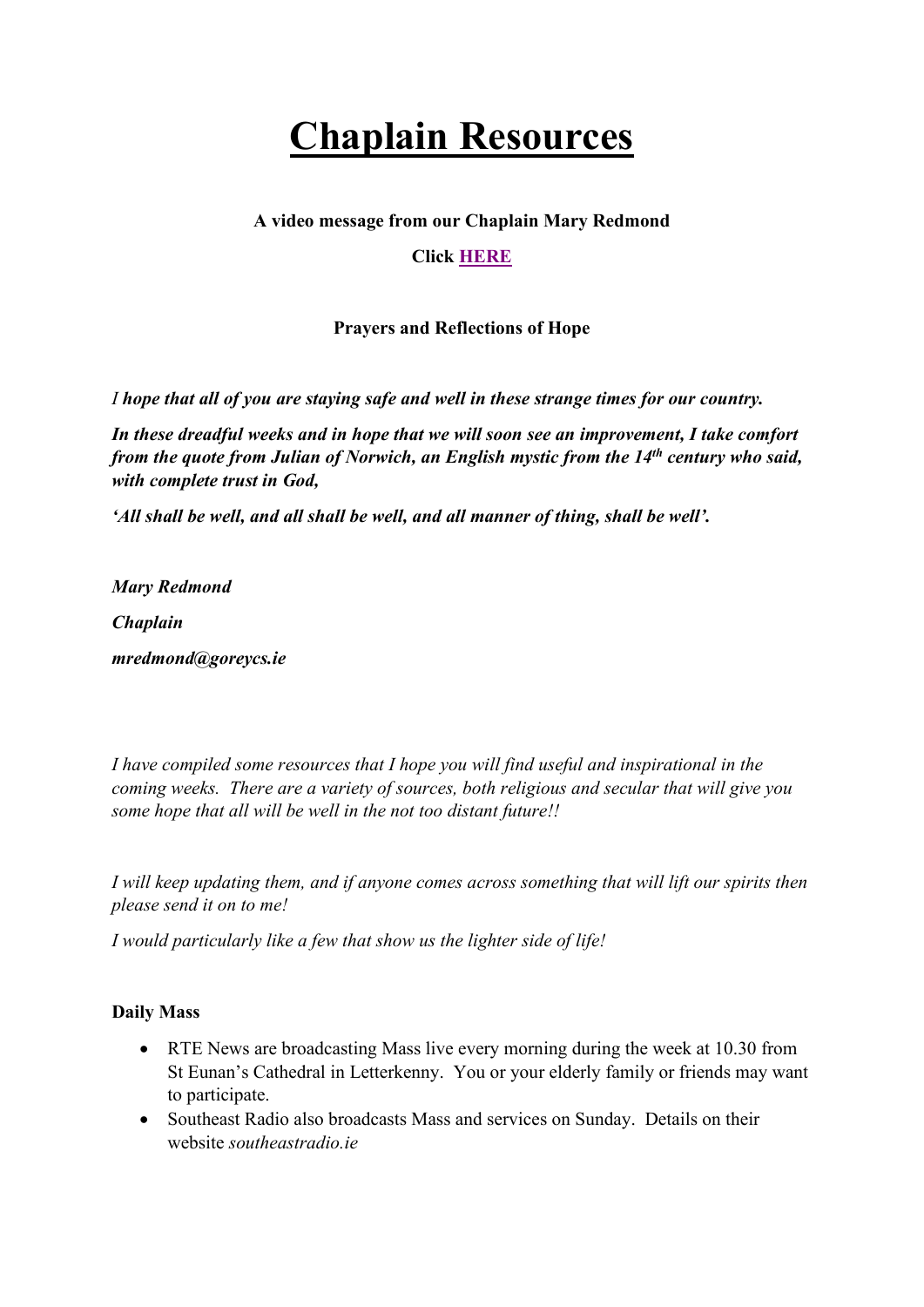# **Chaplain Resources**

### **A video message from our Chaplain Mary Redmond**

# **Click [HERE](https://goreycs-my.sharepoint.com/:v:/g/personal/mredmond_goreycs_ie/EcoNQ88pmy1Bv8tRigHxDb0BCUQl0inFMWQ6MyhRjH5Ztw?e=a1QL7E)**

# **Prayers and Reflections of Hope**

*I hope that all of you are staying safe and well in these strange times for our country.*

*In these dreadful weeks and in hope that we will soon see an improvement, I take comfort from the quote from Julian of Norwich, an English mystic from the 14th century who said, with complete trust in God,* 

*'All shall be well, and all shall be well, and all manner of thing, shall be well'.*

*Mary Redmond Chaplain mredmond@goreycs.ie*

*I have compiled some resources that I hope you will find useful and inspirational in the coming weeks. There are a variety of sources, both religious and secular that will give you some hope that all will be well in the not too distant future!!*

*I will keep updating them, and if anyone comes across something that will lift our spirits then please send it on to me!*

*I would particularly like a few that show us the lighter side of life!*

#### **Daily Mass**

- RTE News are broadcasting Mass live every morning during the week at 10.30 from St Eunan's Cathedral in Letterkenny. You or your elderly family or friends may want to participate.
- Southeast Radio also broadcasts Mass and services on Sunday. Details on their website *southeastradio.ie*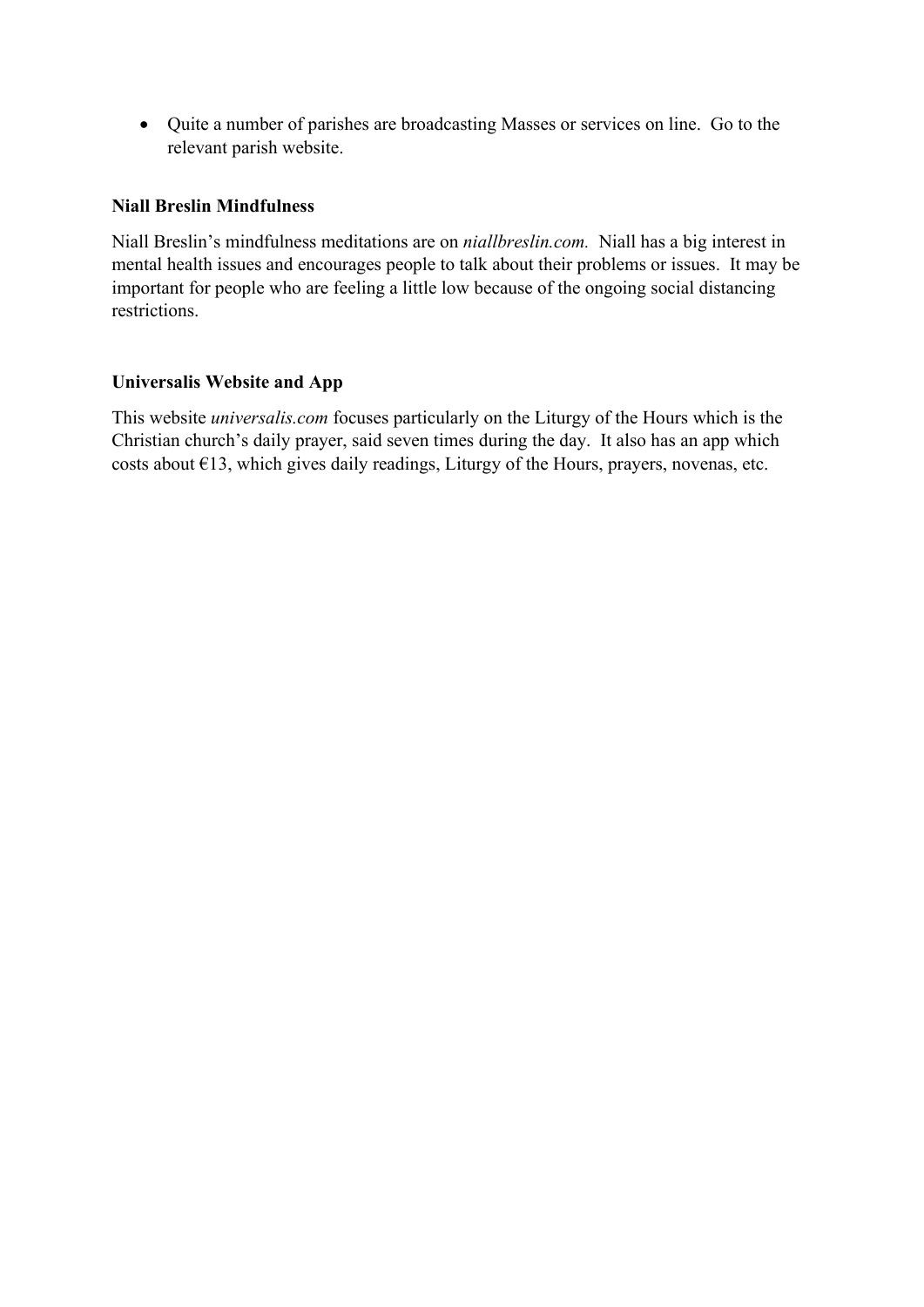• Quite a number of parishes are broadcasting Masses or services on line. Go to the relevant parish website.

#### **Niall Breslin Mindfulness**

Niall Breslin's mindfulness meditations are on *niallbreslin.com.* Niall has a big interest in mental health issues and encourages people to talk about their problems or issues. It may be important for people who are feeling a little low because of the ongoing social distancing restrictions.

#### **Universalis Website and App**

This website *universalis.com* focuses particularly on the Liturgy of the Hours which is the Christian church's daily prayer, said seven times during the day. It also has an app which costs about €13, which gives daily readings, Liturgy of the Hours, prayers, novenas, etc.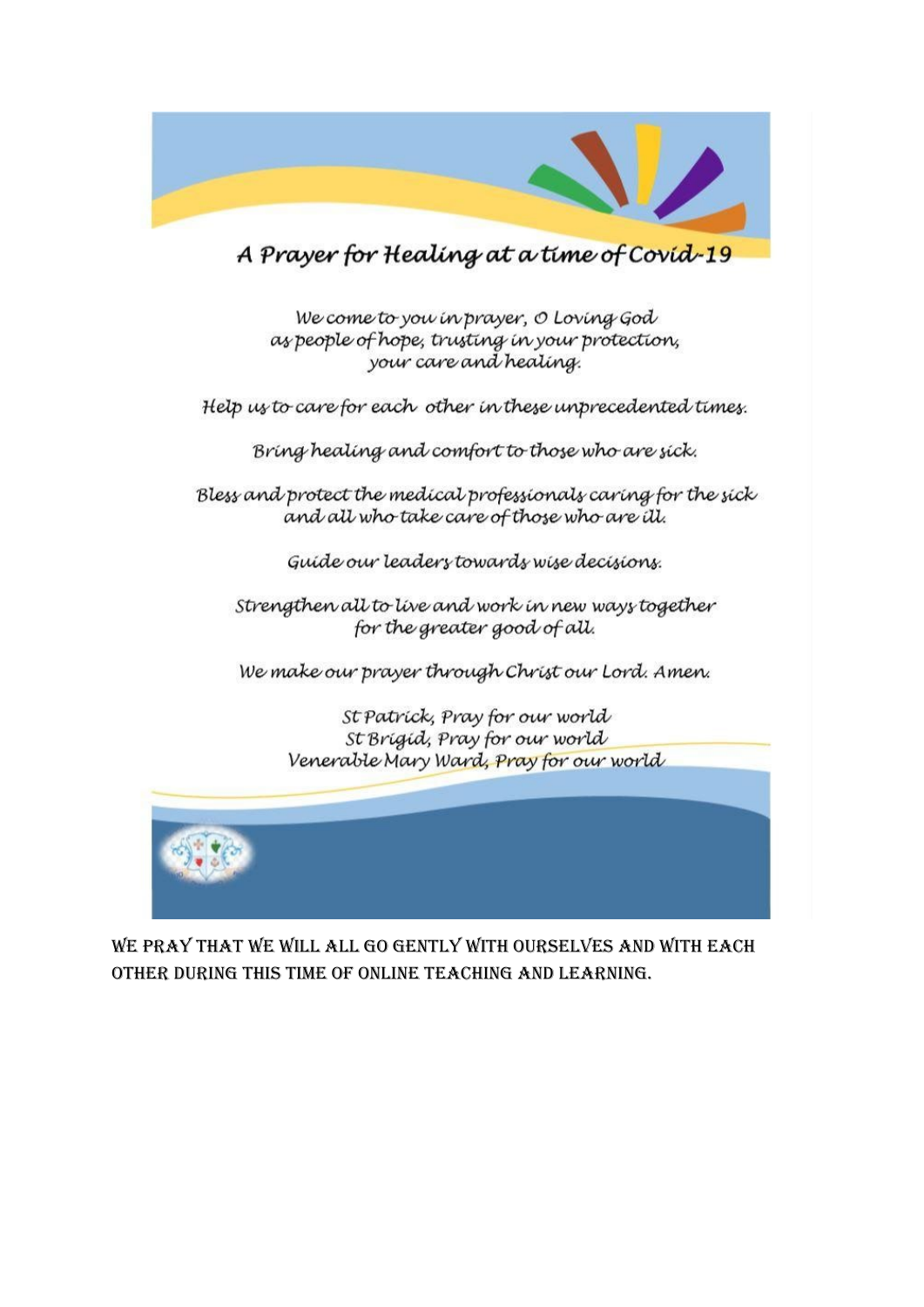

A Prayer for Healing at a time of Covid-19

We come to you in prayer, O Loving God as people of hope, trusting in your protection, your care and healing.

Help us to care for each other in these unprecedented times.

Bring healing and comfort to those who are sick.

Bless and protect the medical professionals caring for the sick and all who take care of those who are ill.

Guide our leaders towards wise decisions.

Strengthen all to live and work in new ways together for the greater good of all.

We make our prayer through Christ our Lord. Amen.

St Patrick, Pray for our world St Brigid, Pray for our world Venerable Mary Ward, Pray for our world



WE PRAY THAT WE WILL ALL GO GENTLY WITH OURSELVES AND WITH EACH OTHER DURING THIS TIME OF ONLINE TEACHING AND LEARNING.